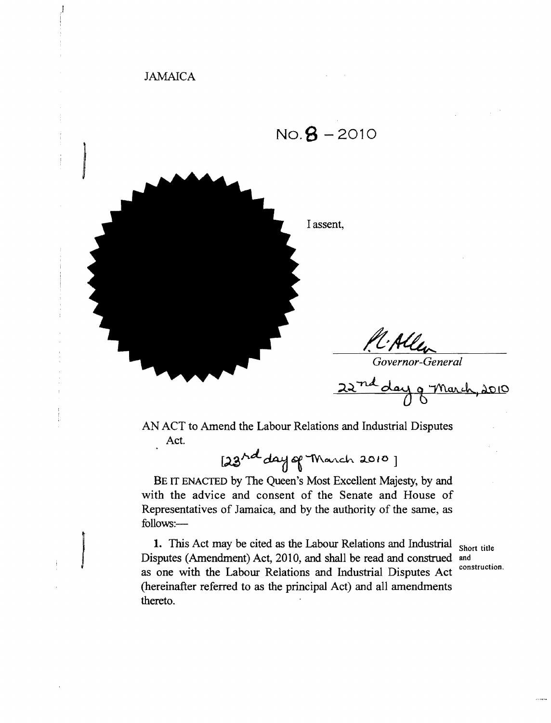## JAMAICA

I



AN ACT to Amend the Labour Relations and Industrial Disputes Act.

~",d... '"1V\ov\.d.. ;LO to]

BE IT ENACTED by The Queen's Most Excellent Majesty, by and with the advice and consent of the Senate and House of Representatives of Jamaica, and by the authority of the same, as follows:

**1.** This Act may be cited as the Labour Relations and Industrial Short title Disputes (Amendment) Act, 2010, and shall be read and construed and as one with the Labour Relations and Industrial Disputes Act (hereinafter referred to as the principal Act) and all amendments thereto.

construction.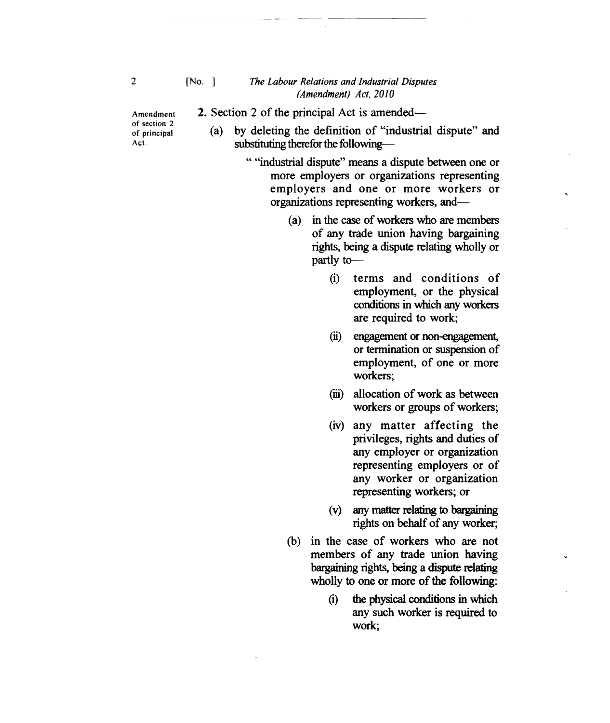## [No. ] *The Labour Relations and Industrial Disputes (Amendment) Act. 2010*

Amendment of section 2 of principal Act.

2. Section 2 of the principal Act is amended

--\_.\_--------\_.....\_\_..- ....\_.\_.

(a) by deleting the definition of "industrial dispute" and substituting therefor the following-

> " "industrial dispute" means a dispute between one or more employers or organizations representing employers and one or more workers or organizations representing workers, and

- (a) in the case of workers who are members of any trade union having bargaining rights, being a dispute relating wholly or partly to
	- (i) terms and conditions of employment, or the physical conditions in which any workers are required to work;
	- (ii) engagement or non-engagement, or termination or suspension of employment, of one or more workers;
	- (iii) allocation of work as between workers or groups of workers;
	- (iv) any matter affecting the privileges, rights and duties of any employer or organization representing employers or of any worker or organization representing workers; or
	- (v) any matter relating to bargaining rights on behalf of any worker;
- (b) in the case of workers who are not members of any trade union having bargaining rights, being a dispute relating wholly to one or more of the following:
	- (1) the physical conditions in which any such worker is required to work;

2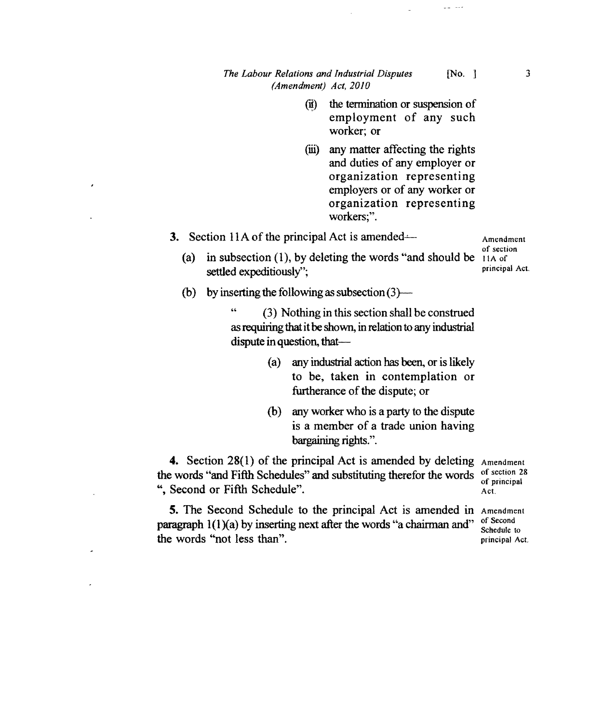## *The Labour Relations and Industrial Disputes* [No. ] 3 *(Amendment) Act, 2010*

- (ii) the termination or suspension of employment of any such worker; or
- (iii) any matter affecting the rights and duties of any employer or organization representing employers or of any worker or organization representing workers;".
- 3. Section 11A of the principal Act is amended—

(a) in subsection (1), by deleting the words "and should be  $\frac{1}{4}$  in  $\frac{1}{4}$  of settled expeditiously";

Amendment of section principal Act.

(b) by inserting the following as subsection  $(3)$ —

" (3) Nothing in this section shall be construed as requiring that it be shown, in relation to any industrial dispute in question, that

- (a) any industrial action has been, or is likely to be, taken in contemplation or furtherance of the dispute; or
- (b) any worker who is a party to the dispute is a member of a trade union having bargaining rights.".

4. Section 28(1) of the principal Act is amended by deleting Amendment the words "and Fifth Schedules" and substituting therefor the words ", Second or Fifth Schedule".

5. The Second Schedule to the principal Act is amended in Amendment paragraph  $1(1)(a)$  by inserting next after the words "a chairman and" the words "not less than".

of section 28 of principal Act.

Schedule to principal Act.

 $\sim$  . <br> .